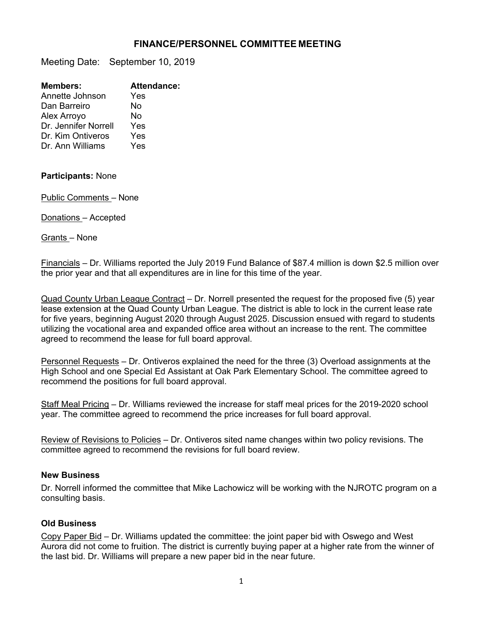## **FINANCE/PERSONNEL COMMITTEE MEETING**

Meeting Date: September 10, 2019

| <b>Members:</b>      | <b>Attendance:</b> |
|----------------------|--------------------|
| Annette Johnson      | Yes                |
| Dan Barreiro         | N٥                 |
| Alex Arroyo          | N٥                 |
| Dr. Jennifer Norrell | Yes                |
| Dr. Kim Ontiveros    | Yes                |
| Dr. Ann Williams     | Yes                |
|                      |                    |

## **Participants:** None

Public Comments – None

Donations – Accepted

Grants – None

Financials – Dr. Williams reported the July 2019 Fund Balance of \$87.4 million is down \$2.5 million over the prior year and that all expenditures are in line for this time of the year.

Quad County Urban League Contract - Dr. Norrell presented the request for the proposed five (5) year lease extension at the Quad County Urban League. The district is able to lock in the current lease rate for five years, beginning August 2020 through August 2025. Discussion ensued with regard to students utilizing the vocational area and expanded office area without an increase to the rent. The committee agreed to recommend the lease for full board approval.

Personnel Requests – Dr. Ontiveros explained the need for the three (3) Overload assignments at the High School and one Special Ed Assistant at Oak Park Elementary School. The committee agreed to recommend the positions for full board approval.

Staff Meal Pricing – Dr. Williams reviewed the increase for staff meal prices for the 2019-2020 school year. The committee agreed to recommend the price increases for full board approval.

Review of Revisions to Policies – Dr. Ontiveros sited name changes within two policy revisions. The committee agreed to recommend the revisions for full board review.

## **New Business**

Dr. Norrell informed the committee that Mike Lachowicz will be working with the NJROTC program on a consulting basis.

## **Old Business**

Copy Paper Bid – Dr. Williams updated the committee: the joint paper bid with Oswego and West Aurora did not come to fruition. The district is currently buying paper at a higher rate from the winner of the last bid. Dr. Williams will prepare a new paper bid in the near future.